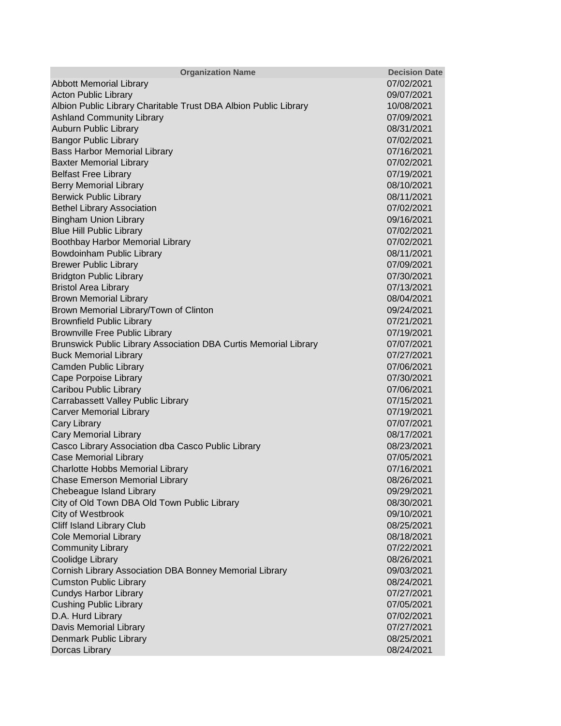| <b>Organization Name</b>                                         | <b>Decision Date</b> |
|------------------------------------------------------------------|----------------------|
| <b>Abbott Memorial Library</b>                                   | 07/02/2021           |
| <b>Acton Public Library</b>                                      | 09/07/2021           |
| Albion Public Library Charitable Trust DBA Albion Public Library | 10/08/2021           |
| <b>Ashland Community Library</b>                                 | 07/09/2021           |
| <b>Auburn Public Library</b>                                     | 08/31/2021           |
| <b>Bangor Public Library</b>                                     | 07/02/2021           |
| <b>Bass Harbor Memorial Library</b>                              | 07/16/2021           |
| <b>Baxter Memorial Library</b>                                   | 07/02/2021           |
| <b>Belfast Free Library</b>                                      | 07/19/2021           |
| <b>Berry Memorial Library</b>                                    | 08/10/2021           |
| <b>Berwick Public Library</b>                                    | 08/11/2021           |
| <b>Bethel Library Association</b>                                | 07/02/2021           |
| <b>Bingham Union Library</b>                                     | 09/16/2021           |
| <b>Blue Hill Public Library</b>                                  | 07/02/2021           |
| Boothbay Harbor Memorial Library                                 | 07/02/2021           |
| Bowdoinham Public Library                                        | 08/11/2021           |
| <b>Brewer Public Library</b>                                     | 07/09/2021           |
| <b>Bridgton Public Library</b>                                   | 07/30/2021           |
| <b>Bristol Area Library</b>                                      | 07/13/2021           |
| <b>Brown Memorial Library</b>                                    | 08/04/2021           |
| Brown Memorial Library/Town of Clinton                           | 09/24/2021           |
| <b>Brownfield Public Library</b>                                 | 07/21/2021           |
| <b>Brownville Free Public Library</b>                            | 07/19/2021           |
| Brunswick Public Library Association DBA Curtis Memorial Library | 07/07/2021           |
| <b>Buck Memorial Library</b>                                     | 07/27/2021           |
| Camden Public Library                                            | 07/06/2021           |
| Cape Porpoise Library                                            | 07/30/2021           |
| Caribou Public Library                                           | 07/06/2021           |
| Carrabassett Valley Public Library                               | 07/15/2021           |
| <b>Carver Memorial Library</b>                                   | 07/19/2021           |
| <b>Cary Library</b>                                              | 07/07/2021           |
| <b>Cary Memorial Library</b>                                     | 08/17/2021           |
| Casco Library Association dba Casco Public Library               | 08/23/2021           |
| <b>Case Memorial Library</b>                                     | 07/05/2021           |
| Charlotte Hobbs Memorial Library                                 | 07/16/2021           |
| <b>Chase Emerson Memorial Library</b>                            | 08/26/2021           |
| Chebeague Island Library                                         | 09/29/2021           |
| City of Old Town DBA Old Town Public Library                     | 08/30/2021           |
| City of Westbrook                                                | 09/10/2021           |
| Cliff Island Library Club                                        | 08/25/2021           |
| <b>Cole Memorial Library</b>                                     | 08/18/2021           |
| <b>Community Library</b>                                         | 07/22/2021           |
| Coolidge Library                                                 | 08/26/2021           |
| Cornish Library Association DBA Bonney Memorial Library          | 09/03/2021           |
| <b>Cumston Public Library</b>                                    | 08/24/2021           |
| <b>Cundys Harbor Library</b>                                     | 07/27/2021           |
| <b>Cushing Public Library</b>                                    | 07/05/2021           |
| D.A. Hurd Library                                                | 07/02/2021           |
| Davis Memorial Library                                           | 07/27/2021           |
| Denmark Public Library                                           | 08/25/2021           |
| Dorcas Library                                                   | 08/24/2021           |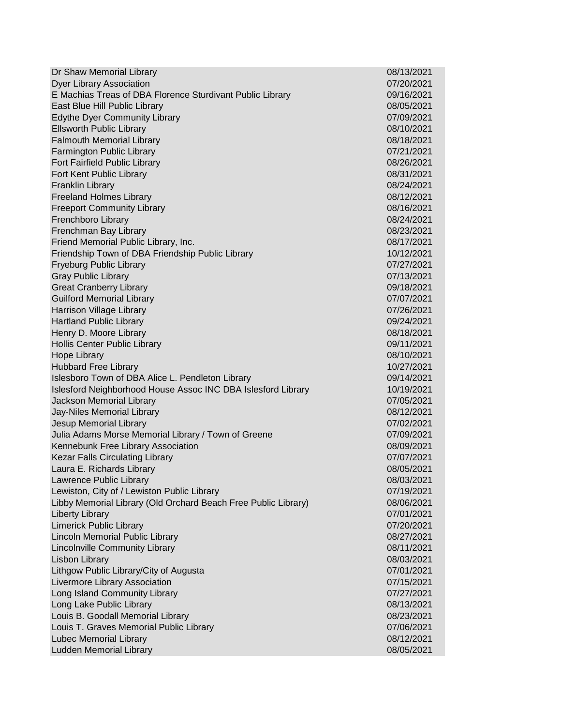| Dr Shaw Memorial Library                                       | 08/13/2021 |
|----------------------------------------------------------------|------------|
| <b>Dyer Library Association</b>                                | 07/20/2021 |
| E Machias Treas of DBA Florence Sturdivant Public Library      | 09/16/2021 |
| East Blue Hill Public Library                                  | 08/05/2021 |
| <b>Edythe Dyer Community Library</b>                           | 07/09/2021 |
| <b>Ellsworth Public Library</b>                                | 08/10/2021 |
| <b>Falmouth Memorial Library</b>                               | 08/18/2021 |
| Farmington Public Library                                      | 07/21/2021 |
| Fort Fairfield Public Library                                  | 08/26/2021 |
| Fort Kent Public Library                                       | 08/31/2021 |
| <b>Franklin Library</b>                                        | 08/24/2021 |
| <b>Freeland Holmes Library</b>                                 | 08/12/2021 |
| <b>Freeport Community Library</b>                              | 08/16/2021 |
| Frenchboro Library                                             | 08/24/2021 |
| Frenchman Bay Library                                          | 08/23/2021 |
| Friend Memorial Public Library, Inc.                           | 08/17/2021 |
| Friendship Town of DBA Friendship Public Library               | 10/12/2021 |
| <b>Fryeburg Public Library</b>                                 | 07/27/2021 |
| <b>Gray Public Library</b>                                     | 07/13/2021 |
| <b>Great Cranberry Library</b>                                 | 09/18/2021 |
| <b>Guilford Memorial Library</b>                               | 07/07/2021 |
| Harrison Village Library                                       | 07/26/2021 |
| <b>Hartland Public Library</b>                                 | 09/24/2021 |
| Henry D. Moore Library                                         | 08/18/2021 |
| Hollis Center Public Library                                   | 09/11/2021 |
| <b>Hope Library</b>                                            | 08/10/2021 |
| <b>Hubbard Free Library</b>                                    | 10/27/2021 |
| Islesboro Town of DBA Alice L. Pendleton Library               | 09/14/2021 |
| Islesford Neighborhood House Assoc INC DBA Islesford Library   | 10/19/2021 |
| Jackson Memorial Library                                       | 07/05/2021 |
| Jay-Niles Memorial Library                                     | 08/12/2021 |
| Jesup Memorial Library                                         | 07/02/2021 |
| Julia Adams Morse Memorial Library / Town of Greene            | 07/09/2021 |
| Kennebunk Free Library Association                             | 08/09/2021 |
| <b>Kezar Falls Circulating Library</b>                         | 07/07/2021 |
| Laura E. Richards Library                                      | 08/05/2021 |
| Lawrence Public Library                                        | 08/03/2021 |
| Lewiston, City of / Lewiston Public Library                    | 07/19/2021 |
| Libby Memorial Library (Old Orchard Beach Free Public Library) | 08/06/2021 |
| <b>Liberty Library</b>                                         | 07/01/2021 |
| <b>Limerick Public Library</b>                                 | 07/20/2021 |
| Lincoln Memorial Public Library                                | 08/27/2021 |
| Lincolnville Community Library                                 | 08/11/2021 |
| <b>Lisbon Library</b>                                          | 08/03/2021 |
| Lithgow Public Library/City of Augusta                         | 07/01/2021 |
| Livermore Library Association                                  | 07/15/2021 |
| Long Island Community Library                                  | 07/27/2021 |
| Long Lake Public Library                                       | 08/13/2021 |
| Louis B. Goodall Memorial Library                              | 08/23/2021 |
| Louis T. Graves Memorial Public Library                        | 07/06/2021 |
| Lubec Memorial Library                                         | 08/12/2021 |
| Ludden Memorial Library                                        | 08/05/2021 |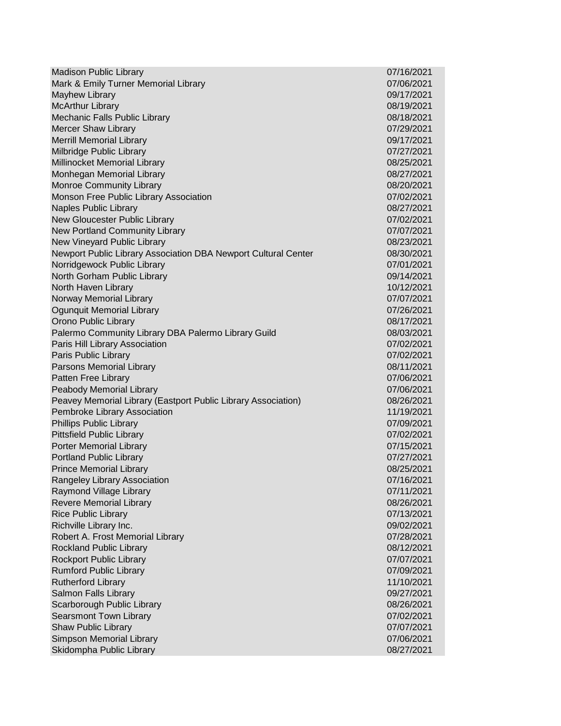Madison Public Library 07/16/2021 Mark & Emily Turner Memorial Library 07/06/2021 Mayhew Library 09/17/2021 McArthur Library 08/19/2021 Mechanic Falls Public Library **08/18/2021** Mercer Shaw Library **07/29/2021** Merrill Memorial Library 09/17/2021 Milbridge Public Library 07/27/2021 Millinocket Memorial Library 08/25/2021 Monhegan Memorial Library 08/27/2021 Monroe Community Library **08/20/2021** Monson Free Public Library Association **07/02/2021** 07/02/2021 Naples Public Library 08/27/2021 New Gloucester Public Library 07/02/2021 New Portland Community Library 07/07/2021 New Vineyard Public Library 08/23/2021 Newport Public Library Association DBA Newport Cultural Center 08/30/2021 Norridgewock Public Library 07/01/2021 North Gorham Public Library **09/14/2021** North Haven Library **10/12/2021 10/12/2021** Norway Memorial Library 07/07/2021 Ogunquit Memorial Library 07/26/2021 Orono Public Library 08/17/2021 Palermo Community Library DBA Palermo Library Guild 08/03/2021 Paris Hill Library Association 07/02/2021 Paris Public Library 07/02/2021 Parsons Memorial Library **Department Control** 2001 12:00:00 08/11/2021 Patten Free Library 07/06/2021 Peabody Memorial Library 07/06/2021 Peavey Memorial Library (Eastport Public Library Association) 08/26/2021 Pembroke Library Association 11/19/2021 Phillips Public Library 07/09/2021 Pittsfield Public Library 07/02/2021 Porter Memorial Library 07/15/2021 Portland Public Library 07/27/2021 Prince Memorial Library 08/25/2021 Rangeley Library Association 07/16/2021 Raymond Village Library 07/11/2021 Revere Memorial Library **08/26/2021** Rice Public Library 07/13/2021 Richville Library Inc. 09/02/2021 Robert A. Frost Memorial Library 07/28/2021 Rockland Public Library **08/12/2021** Rockport Public Library 07/07/2021 Rumford Public Library 07/09/2021 Rutherford Library 11/10/2021 Salmon Falls Library 09/27/2021 Scarborough Public Library **08/26/2021** Carborough Public Library **08/26/2021** Searsmont Town Library **07/02/2021** Shaw Public Library **07/07/2021** Simpson Memorial Library 07/06/2021 Skidompha Public Library **08/27/2021**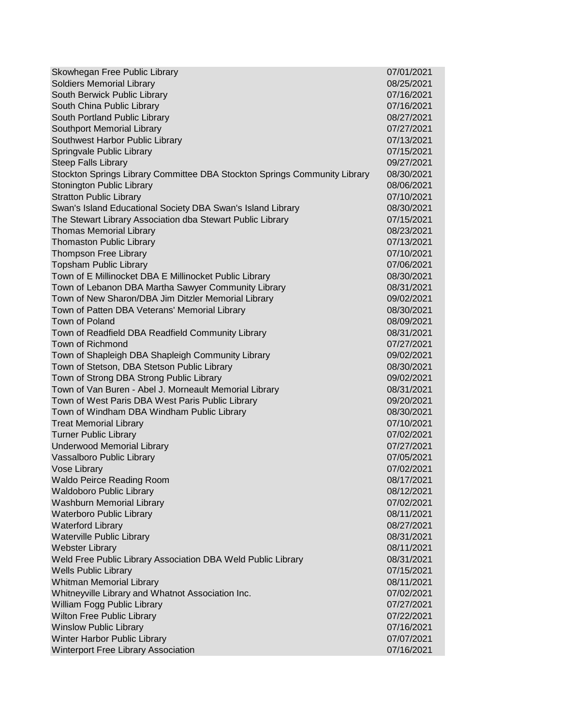| Skowhegan Free Public Library                                             | 07/01/2021 |
|---------------------------------------------------------------------------|------------|
| <b>Soldiers Memorial Library</b>                                          | 08/25/2021 |
| South Berwick Public Library                                              | 07/16/2021 |
| South China Public Library                                                | 07/16/2021 |
| South Portland Public Library                                             | 08/27/2021 |
| Southport Memorial Library                                                | 07/27/2021 |
| Southwest Harbor Public Library                                           | 07/13/2021 |
| Springvale Public Library                                                 | 07/15/2021 |
| <b>Steep Falls Library</b>                                                | 09/27/2021 |
| Stockton Springs Library Committee DBA Stockton Springs Community Library | 08/30/2021 |
| <b>Stonington Public Library</b>                                          | 08/06/2021 |
| <b>Stratton Public Library</b>                                            | 07/10/2021 |
| Swan's Island Educational Society DBA Swan's Island Library               | 08/30/2021 |
| The Stewart Library Association dba Stewart Public Library                | 07/15/2021 |
| <b>Thomas Memorial Library</b>                                            | 08/23/2021 |
| <b>Thomaston Public Library</b>                                           | 07/13/2021 |
| <b>Thompson Free Library</b>                                              | 07/10/2021 |
| <b>Topsham Public Library</b>                                             | 07/06/2021 |
| Town of E Millinocket DBA E Millinocket Public Library                    | 08/30/2021 |
| Town of Lebanon DBA Martha Sawyer Community Library                       | 08/31/2021 |
| Town of New Sharon/DBA Jim Ditzler Memorial Library                       | 09/02/2021 |
| Town of Patten DBA Veterans' Memorial Library                             | 08/30/2021 |
| <b>Town of Poland</b>                                                     | 08/09/2021 |
| Town of Readfield DBA Readfield Community Library                         | 08/31/2021 |
| Town of Richmond                                                          | 07/27/2021 |
| Town of Shapleigh DBA Shapleigh Community Library                         | 09/02/2021 |
| Town of Stetson, DBA Stetson Public Library                               | 08/30/2021 |
| Town of Strong DBA Strong Public Library                                  | 09/02/2021 |
| Town of Van Buren - Abel J. Morneault Memorial Library                    | 08/31/2021 |
| Town of West Paris DBA West Paris Public Library                          | 09/20/2021 |
| Town of Windham DBA Windham Public Library                                | 08/30/2021 |
| <b>Treat Memorial Library</b>                                             | 07/10/2021 |
| <b>Turner Public Library</b>                                              | 07/02/2021 |
| <b>Underwood Memorial Library</b>                                         | 07/27/2021 |
| Vassalboro Public Library                                                 | 07/05/2021 |
| Vose Library                                                              | 07/02/2021 |
| <b>Waldo Peirce Reading Room</b>                                          | 08/17/2021 |
| <b>Waldoboro Public Library</b>                                           | 08/12/2021 |
| <b>Washburn Memorial Library</b>                                          | 07/02/2021 |
| <b>Waterboro Public Library</b>                                           | 08/11/2021 |
| <b>Waterford Library</b>                                                  | 08/27/2021 |
| <b>Waterville Public Library</b>                                          | 08/31/2021 |
| <b>Webster Library</b>                                                    | 08/11/2021 |
| Weld Free Public Library Association DBA Weld Public Library              | 08/31/2021 |
| <b>Wells Public Library</b>                                               | 07/15/2021 |
| Whitman Memorial Library                                                  | 08/11/2021 |
| Whitneyville Library and Whatnot Association Inc.                         | 07/02/2021 |
| William Fogg Public Library                                               | 07/27/2021 |
| Wilton Free Public Library                                                | 07/22/2021 |
| <b>Winslow Public Library</b>                                             | 07/16/2021 |
| Winter Harbor Public Library                                              | 07/07/2021 |
| Winterport Free Library Association                                       | 07/16/2021 |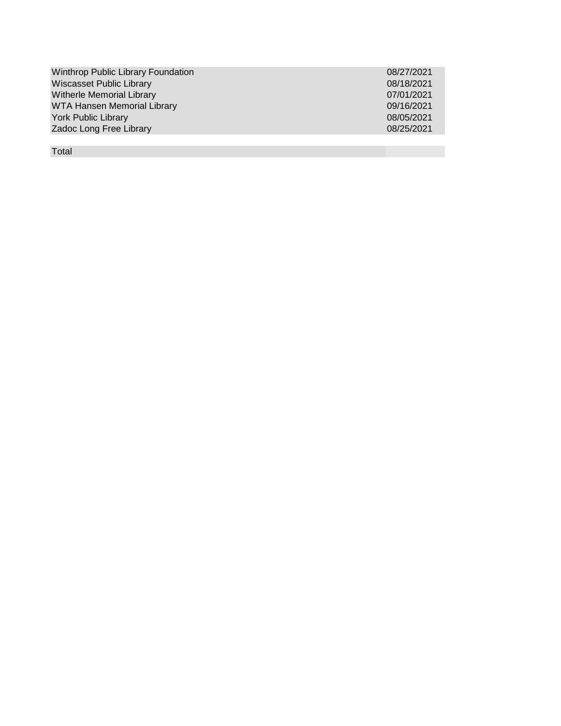| <b>Winthrop Public Library Foundation</b> | 08/27/2021 |
|-------------------------------------------|------------|
| <b>Wiscasset Public Library</b>           | 08/18/2021 |
| <b>Witherle Memorial Library</b>          | 07/01/2021 |
| <b>WTA Hansen Memorial Library</b>        | 09/16/2021 |
| <b>York Public Library</b>                | 08/05/2021 |
| Zadoc Long Free Library                   | 08/25/2021 |
|                                           |            |

Total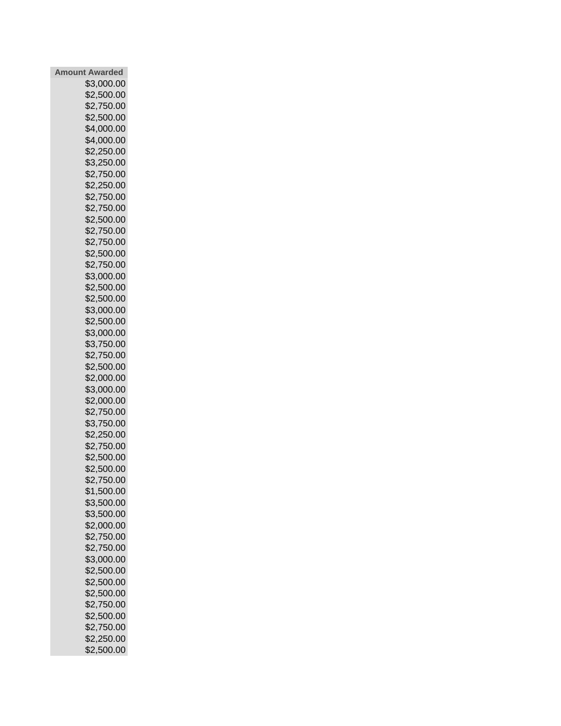| <b>Amount Awarded</b> |            |  |  |
|-----------------------|------------|--|--|
|                       | \$3,000.00 |  |  |
|                       | \$2,500.00 |  |  |
|                       | \$2,750.00 |  |  |
|                       | \$2,500.00 |  |  |
|                       | \$4,000.00 |  |  |
|                       | \$4,000.00 |  |  |
|                       | \$2,250.00 |  |  |
|                       | \$3,250.00 |  |  |
|                       | \$2,750.00 |  |  |
|                       | \$2,250.00 |  |  |
|                       | \$2,750.00 |  |  |
|                       | \$2,750.00 |  |  |
|                       | \$2,500.00 |  |  |
|                       | \$2,750.00 |  |  |
|                       | \$2,750.00 |  |  |
|                       | \$2,500.00 |  |  |
|                       | \$2,750.00 |  |  |
|                       |            |  |  |
|                       | \$3,000.00 |  |  |
|                       | \$2,500.00 |  |  |
|                       | \$2,500.00 |  |  |
|                       | \$3,000.00 |  |  |
|                       | \$2,500.00 |  |  |
|                       | \$3,000.00 |  |  |
|                       | \$3,750.00 |  |  |
|                       | \$2,750.00 |  |  |
|                       | \$2,500.00 |  |  |
|                       | \$2,000.00 |  |  |
|                       | \$3,000.00 |  |  |
|                       | \$2,000.00 |  |  |
|                       | \$2,750.00 |  |  |
|                       | \$3,750.00 |  |  |
|                       | \$2,250.00 |  |  |
|                       | \$2,750.00 |  |  |
|                       | \$2,500.00 |  |  |
|                       | \$2,500.00 |  |  |
|                       | \$2,750.00 |  |  |
|                       | \$1,500.00 |  |  |
|                       | \$3,500.00 |  |  |
|                       | \$3,500.00 |  |  |
|                       | \$2,000.00 |  |  |
|                       | \$2,750.00 |  |  |
|                       | \$2,750.00 |  |  |
|                       | \$3,000.00 |  |  |
|                       | \$2,500.00 |  |  |
|                       | \$2,500.00 |  |  |
|                       | \$2,500.00 |  |  |
|                       | \$2,750.00 |  |  |
|                       | \$2,500.00 |  |  |
|                       | \$2,750.00 |  |  |
|                       | \$2,250.00 |  |  |
|                       | \$2,500.00 |  |  |
|                       |            |  |  |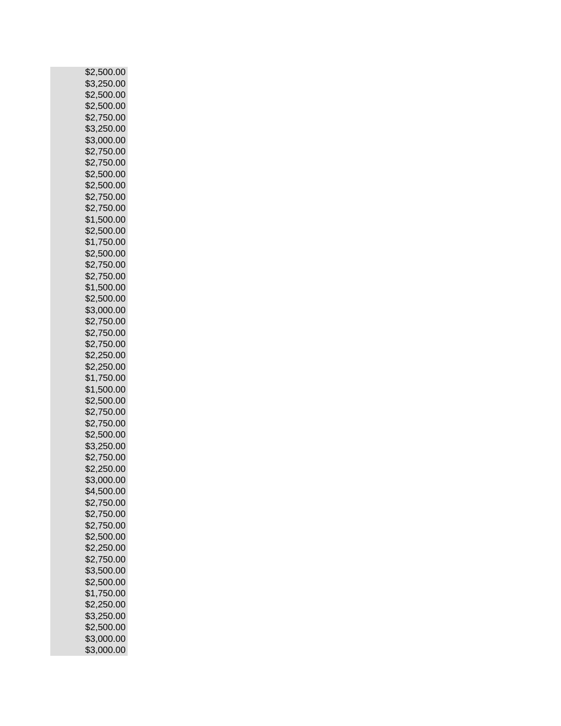|      | \$2,500.00 |
|------|------------|
|      | \$3,250.00 |
|      | \$2,500.00 |
|      | \$2,500.00 |
| \$2, | 750.00     |
|      | \$3,250.00 |
|      | \$3,000.00 |
|      | \$2,750.00 |
|      | \$2,750.00 |
|      | \$2,500.00 |
|      | \$2,500.00 |
|      | \$2,750.00 |
|      |            |
|      | \$2,750.00 |
|      | \$1,500.00 |
|      | \$2,500.00 |
|      | \$1,750.00 |
|      | \$2,500.00 |
|      | \$2,750.00 |
|      | \$2,750.00 |
|      | \$1,500.00 |
|      | \$2,500.00 |
|      | \$3,000.00 |
|      | \$2,750.00 |
|      | \$2,750.00 |
|      | \$2,750.00 |
|      | \$2,250.00 |
|      | \$2,250.00 |
|      | \$1,750.00 |
|      | \$1,500.00 |
|      | \$2,500.00 |
|      | \$2,750.00 |
|      | \$2,750.00 |
|      | \$2,500.00 |
|      | \$3,250.00 |
|      | \$2,750.00 |
|      | \$2,250.00 |
|      | \$3,000.00 |
|      | \$4,500.00 |
|      |            |
|      | \$2,750.00 |
|      | \$2,750.00 |
|      | \$2,750.00 |
|      | \$2,500.00 |
|      | \$2,250.00 |
|      | \$2,750.00 |
|      | \$3,500.00 |
|      | \$2,500.00 |
|      | \$1,750.00 |
|      | \$2,250.00 |
|      | \$3,250.00 |
|      | \$2,500.00 |
|      | \$3,000.00 |
|      | \$3,000.00 |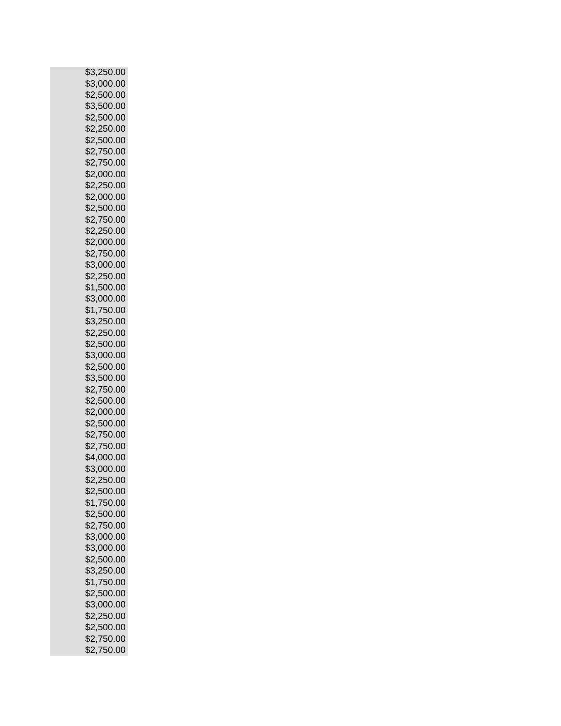| \$3,250.00               |
|--------------------------|
| \$3,000.00               |
| \$2,500.00               |
|                          |
| \$3,500.00               |
| \$2,500.00               |
| \$2,250.00               |
| \$2,500.00               |
|                          |
| \$2,750.00               |
| \$2,750.00               |
| \$2,000.00               |
|                          |
| \$2,250.00               |
| \$2,000.00               |
| \$2,500.00               |
| \$2,750.00               |
|                          |
| \$2,250.00               |
| \$2,000.00               |
| \$2,750.00               |
|                          |
| \$3,000.00               |
| \$2,250.00               |
| \$1,500.00               |
| \$3,000.00               |
|                          |
| \$1,750.00               |
| \$3,250.00               |
| \$2,250.00               |
|                          |
| \$2,500.00               |
| \$3,000.00               |
| \$2,500.00               |
| \$3,500.00               |
|                          |
| \$2,750.00               |
| \$2,500.00               |
| \$2,000.00               |
|                          |
|                          |
| \$2,500.00               |
| \$2,750.00               |
|                          |
| \$2,750.00               |
| \$4,000.00               |
| \$3,000.00               |
|                          |
| \$2,250.00               |
| \$2,500.00               |
| \$1,750.00               |
| \$2,500.00               |
|                          |
| \$2,750.00               |
| \$3,000.00               |
| \$3,000.00               |
| \$2,500.00               |
|                          |
| \$3,250.00               |
| \$1,750.00               |
| \$2,500.00               |
| \$3,000.00               |
|                          |
| \$2,250.00               |
| \$2,500.00               |
| \$2,750.00<br>\$2,750.00 |
|                          |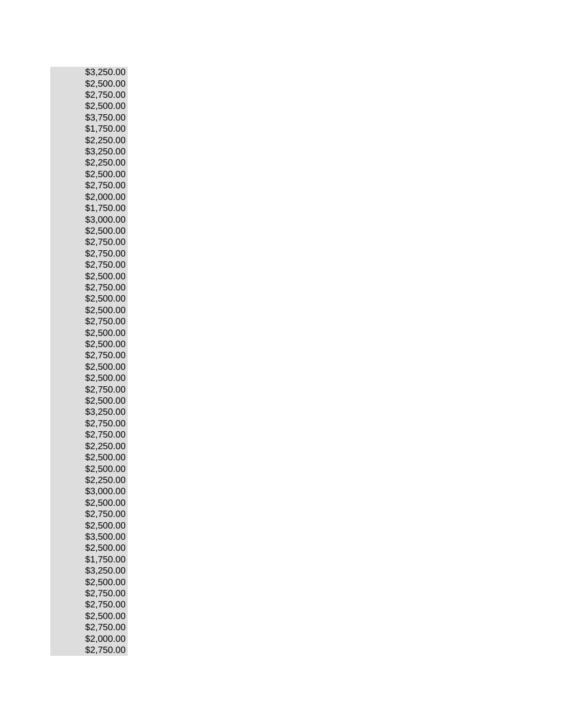| \$3,250.00 |        |  |  |
|------------|--------|--|--|
| \$2,500.00 |        |  |  |
| \$2,750.00 |        |  |  |
| \$2,500.00 |        |  |  |
| \$3,       | 750.00 |  |  |
| \$1,750.00 |        |  |  |
| \$2,250.00 |        |  |  |
| \$3,250.00 |        |  |  |
| \$2,250.00 |        |  |  |
| \$2,500.00 |        |  |  |
| \$2,750.00 |        |  |  |
| \$2,000.00 |        |  |  |
|            |        |  |  |
| \$1,750.00 |        |  |  |
| \$3,000.00 |        |  |  |
| \$2,500.00 |        |  |  |
| \$2,750.00 |        |  |  |
| \$2,750.00 |        |  |  |
| \$2,750.00 |        |  |  |
| \$2,500.00 |        |  |  |
| \$2,750.00 |        |  |  |
| \$2,500.00 |        |  |  |
| \$2,500.00 |        |  |  |
| \$2,750.00 |        |  |  |
| \$2,500.00 |        |  |  |
| \$2,500.00 |        |  |  |
| \$2,750.00 |        |  |  |
| \$2,500.00 |        |  |  |
| \$2,500.00 |        |  |  |
| \$2,750.00 |        |  |  |
| \$2,500.00 |        |  |  |
| \$3,250.00 |        |  |  |
| \$2,750.00 |        |  |  |
| \$2,750.00 |        |  |  |
| \$2,250.00 |        |  |  |
| \$2,500.00 |        |  |  |
| \$2,500.00 |        |  |  |
| \$2,250.00 |        |  |  |
| \$3,000.00 |        |  |  |
| \$2,500.00 |        |  |  |
| \$2,750.00 |        |  |  |
| \$2,500.00 |        |  |  |
| \$3,500.00 |        |  |  |
| \$2,500.00 |        |  |  |
| \$1,750.00 |        |  |  |
| \$3,250.00 |        |  |  |
| \$2,500.00 |        |  |  |
| \$2,750.00 |        |  |  |
| \$2,750.00 |        |  |  |
| \$2,500.00 |        |  |  |
|            |        |  |  |
| \$2,750.00 |        |  |  |
| \$2,000.00 |        |  |  |
| \$2,750.00 |        |  |  |